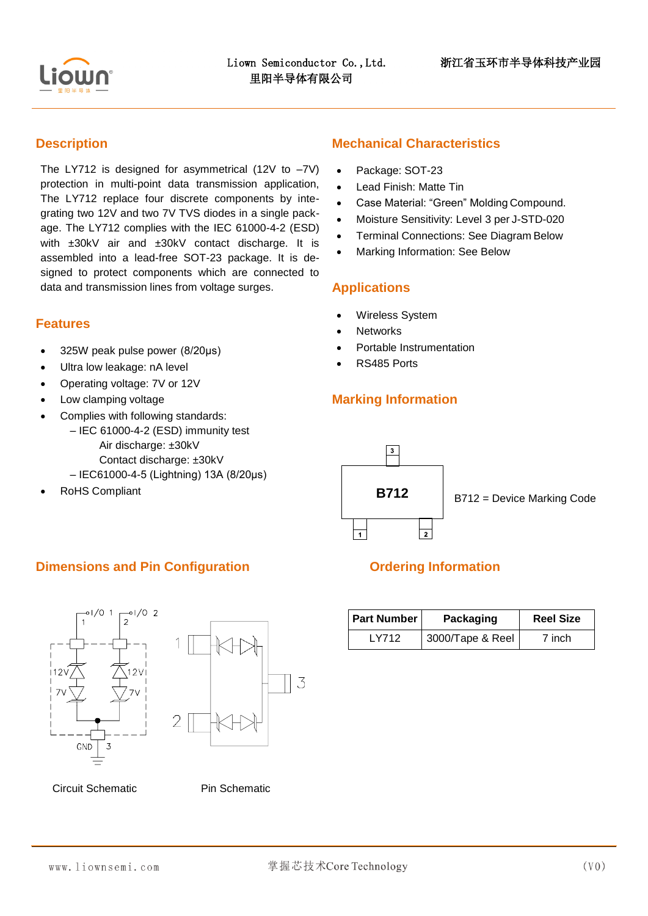

### **Description**

Ī.

The LY712 is designed for asymmetrical (12V to  $-7$ V) protection in multi-point data transmission application, The LY712 replace four discrete components by integrating two 12V and two 7V TVS diodes in a single package. The LY712 complies with the IEC 61000-4-2 (ESD) with ±30kV air and ±30kV contact discharge. It is assembled into a lead-free SOT-23 package. It is designed to protect components which are connected to data and transmission lines from voltage surges.

### **Features**

- 325W peak pulse power (8/20μs)
- Ultra low leakage: nA level
- Operating voltage: 7V or 12V
- Low clamping voltage
- Complies with following standards:
	- IEC 61000-4-2 (ESD) immunity test Air discharge: ±30kV Contact discharge: ±30kV
		- IEC61000-4-5 (Lightning) 13A (8/20μs)
- RoHS Compliant

## **Mechanical Characteristics**

- Package: SOT-23
- Lead Finish: Matte Tin
- Case Material: "Green" Molding Compound.
- Moisture Sensitivity: Level 3 per J-STD-020
- **•** Terminal Connections: See Diagram Below
- Marking Information: See Below

### **Applications**

- Wireless System
- **Networks**
- Portable Instrumentation
- RS485 Ports

## **Marking Information**



## **Dimensions and Pin Configuration Configuration Configuration Configuration**





Circuit Schematic **Pin Schematic** 

| <b>Part Number</b> | Packaging        | <b>Reel Size</b> |  |  |
|--------------------|------------------|------------------|--|--|
| I Y712             | 3000/Tape & Reel | 7 inch           |  |  |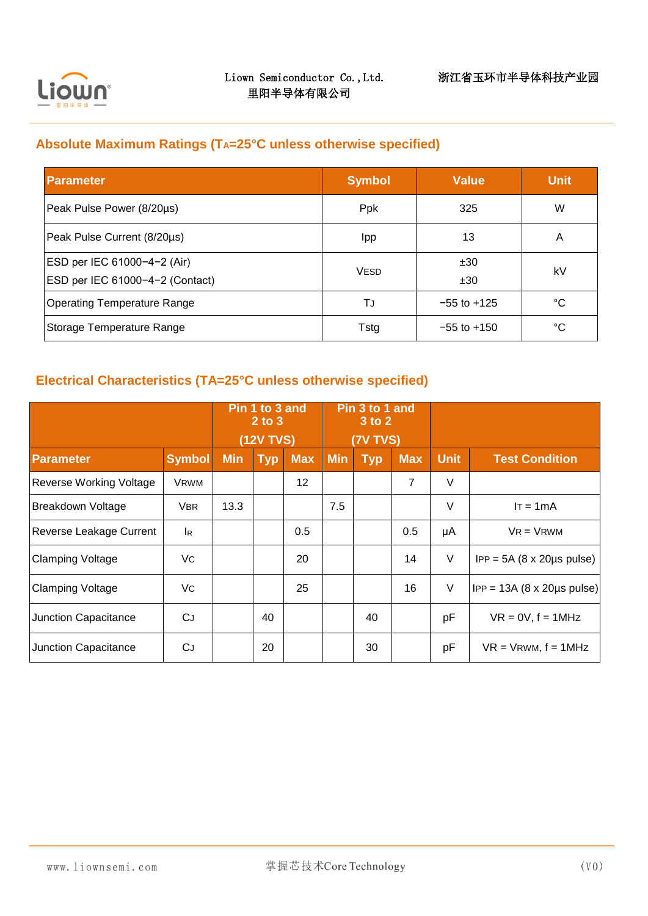

÷,

## **Absolute Maximum Ratings (TA=25°C unless otherwise specified)**

| <b>Parameter</b>                                               | <b>Symbol</b> | <b>Value</b>    | <b>Unit</b> |
|----------------------------------------------------------------|---------------|-----------------|-------------|
| Peak Pulse Power (8/20µs)                                      | Ppk           | 325             | W           |
| Peak Pulse Current (8/20µs)                                    | <b>Ipp</b>    | 13              | A           |
| ESD per IEC 61000-4-2 (Air)<br>ESD per IEC 61000-4-2 (Contact) | <b>VESD</b>   | ±30<br>±30      | kV          |
| <b>Operating Temperature Range</b>                             | TJ            | $-55$ to $+125$ | °C          |
| Storage Temperature Range                                      | Tstg          | $-55$ to $+150$ | °C          |

# **Electrical Characteristics (TA=25°C unless otherwise specified)**

|                                | Pin 1 to 3 and<br>$2$ to $3$ |            | Pin 3 to 1 and<br>3 to 2 |            |            |            |                |             |                                               |
|--------------------------------|------------------------------|------------|--------------------------|------------|------------|------------|----------------|-------------|-----------------------------------------------|
|                                | <b>(12V TVS)</b>             |            | <b>(7V TVS)</b>          |            |            |            |                |             |                                               |
| <b>Parameter</b>               | <b>Symbol</b>                | <b>Min</b> | <b>Typ</b>               | <b>Max</b> | <b>Min</b> | <b>Typ</b> | <b>Max</b>     | <b>Unit</b> | <b>Test Condition</b>                         |
| <b>Reverse Working Voltage</b> | <b>VRWM</b>                  |            |                          | 12         |            |            | $\overline{7}$ | $\vee$      |                                               |
| Breakdown Voltage              | <b>VBR</b>                   | 13.3       |                          |            | 7.5        |            |                | $\vee$      | $IT = 1mA$                                    |
| Reverse Leakage Current        | <b>I</b> R                   |            |                          | 0.5        |            |            | 0.5            | μA          | $VR = VRWM$                                   |
| <b>Clamping Voltage</b>        | Vc                           |            |                          | 20         |            |            | 14             | $\vee$      | $IPP = 5A (8 \times 20 \mu s \text{ pulse})$  |
| <b>Clamping Voltage</b>        | Vc                           |            |                          | 25         |            |            | 16             | $\vee$      | $IPP = 13A (8 \times 20 \mu s \text{ pulse})$ |
| Junction Capacitance           | CJ                           |            | 40                       |            |            | 40         |                | рF          | $VR = 0V$ , $f = 1MHz$                        |
| Junction Capacitance           | CJ                           |            | 20                       |            |            | 30         |                | pF          | $VR = VRWM, f = 1MHz$                         |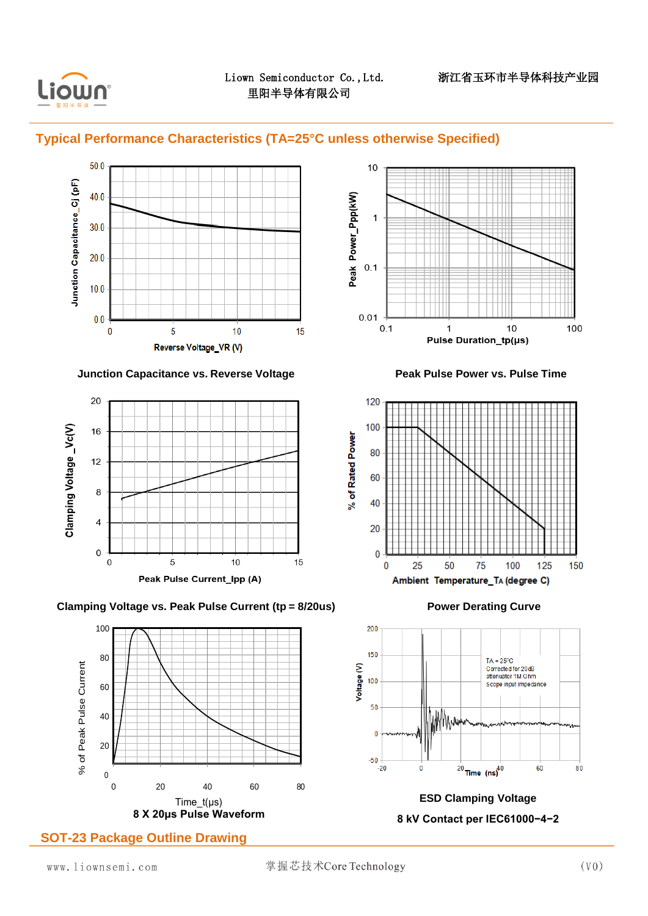

÷,

### **Typical Performance Characteristics (TA=25°C unless otherwise Specified)**



### **Junction Capacitance vs. Reverse Voltage Peak Pulse Power vs. Pulse Time**















**8 kV Contact per IEC61000−4−2**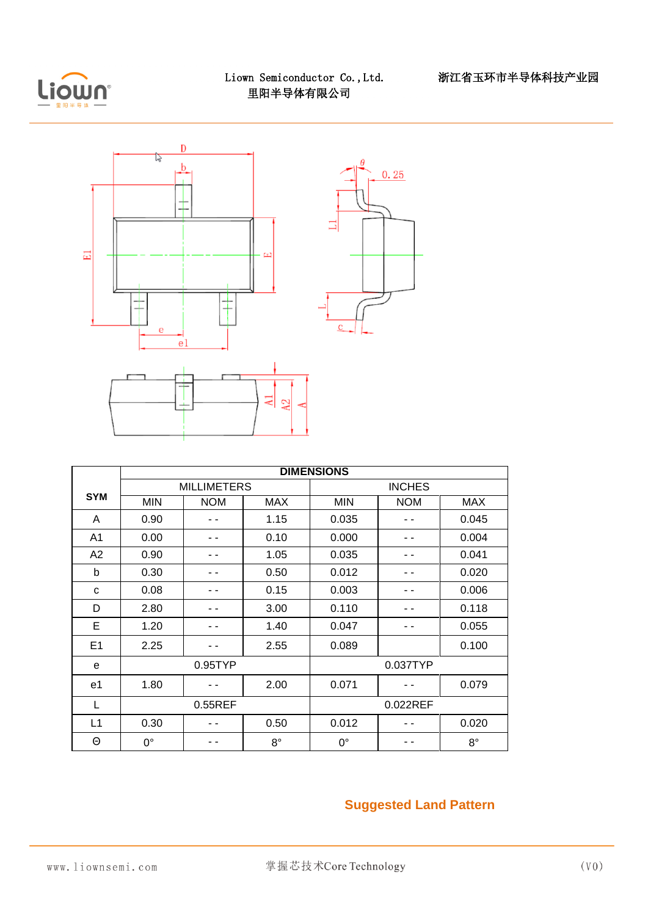

÷,



|                | <b>DIMENSIONS</b> |                    |             |               |            |             |  |  |
|----------------|-------------------|--------------------|-------------|---------------|------------|-------------|--|--|
|                |                   | <b>MILLIMETERS</b> |             | <b>INCHES</b> |            |             |  |  |
| <b>SYM</b>     | <b>MIN</b>        | <b>NOM</b>         | <b>MAX</b>  | <b>MIN</b>    | <b>NOM</b> | <b>MAX</b>  |  |  |
| A              | 0.90              |                    | 1.15        | 0.035         |            | 0.045       |  |  |
| A <sub>1</sub> | 0.00              |                    | 0.10        | 0.000         |            | 0.004       |  |  |
| A2             | 1.05<br>0.90      |                    |             | 0.035         |            | 0.041       |  |  |
| b              | 0.30<br>0.50      |                    | 0.012       |               | 0.020      |             |  |  |
| C              | 0.08<br>0.15      |                    | 0.003       |               | 0.006      |             |  |  |
| 2.80<br>D      |                   |                    | 3.00        | 0.110         |            | 0.118       |  |  |
| E              | 1.20              |                    | 1.40        | 0.047         |            | 0.055       |  |  |
| E1             | 2.25              |                    | 2.55        | 0.089         |            | 0.100       |  |  |
| e              | 0.95TYP           |                    |             | 0.037TYP      |            |             |  |  |
| e1             | 1.80              |                    | 2.00        | 0.071         |            | 0.079       |  |  |
| L              | 0.55REF           |                    |             | 0.022REF      |            |             |  |  |
| L1             | 0.30              |                    | 0.50        | 0.012         |            | 0.020       |  |  |
| Θ              | $0^{\circ}$       |                    | $8^{\circ}$ | $0^{\circ}$   |            | $8^{\circ}$ |  |  |

## **Suggested Land Pattern**